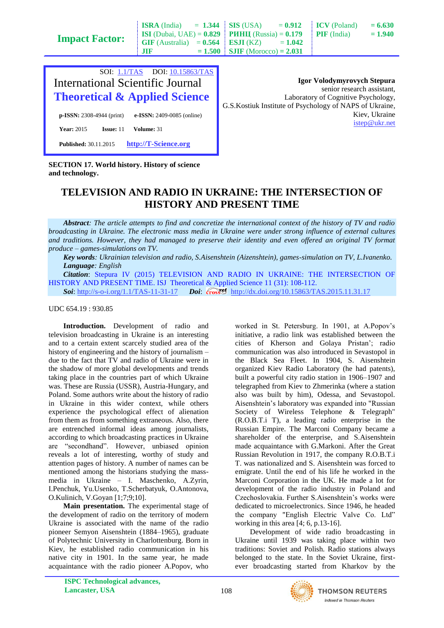| <b>Impact Factor:</b>                    | $\mathbf{1}$<br>$-100$<br><b>ISI</b> (Dubai, UAE) = $0.829$<br><b>GIF</b> (Australia)<br>$= 0.564$<br>JIF<br>$= 1.500$ | <u>UAU 1 UUL 17</u><br><b>PHHII</b> (Russia) = $0.179$<br>ESJI(KZ)<br><b>SJIF</b> (Morocco) = $2.031$ | -<br>$= 1.042$ | 1011<br><b>PIF</b> (India)                              | – vwv<br>$= 1.940$ |
|------------------------------------------|------------------------------------------------------------------------------------------------------------------------|-------------------------------------------------------------------------------------------------------|----------------|---------------------------------------------------------|--------------------|
| SOI: $1.1/TAS$                           | DOI: 10.15863/TAS                                                                                                      |                                                                                                       |                |                                                         |                    |
| <b>International Scientific Journal</b>  |                                                                                                                        | <b>Igor Volodymyrovych Stepura</b><br>senior research assistant,                                      |                |                                                         |                    |
| <b>Theoretical &amp; Applied Science</b> |                                                                                                                        | Laboratory of Cognitive Psychology,                                                                   |                |                                                         |                    |
| $p$ -ISSN: 2308-4944 (print)             | e-ISSN: 2409-0085 (online)                                                                                             |                                                                                                       |                | G.S.Kostiuk Institute of Psychology of NAPS of Ukraine, | Kiev, Ukraine      |

 $-1.244$  **CIC** (USA)  $-0.012$ 

[istep@ukr.net](mailto:istep@ukr.net)

 $ICV (Polend) = 6.630$ 

**SECTION 17. World history. History of science and technology.**

**Published:** 30.11.2015 **[http://T-Science.org](http://t-science.org/)**

**Year:** 2015 **Issue:** 11 **Volume:** 31

**ISRA** (India)

## **TELEVISION AND RADIO IN UKRAINE: THE INTERSECTION OF HISTORY AND PRESENT TIME**

*Abstract: The article attempts to find and concretize the international context of the history of TV and radio broadcasting in Ukraine. The electronic mass media in Ukraine were under strong influence of external cultures and traditions. However, they had managed to preserve their identity and even offered an original TV format produce – games-simulations on TV.*

*Key words: Ukrainian television and radio, S.Aisenshtein (Aizenshtein), games-simulation on TV, L.Ivanenko. Language: English*

*Citation*: Stepura IV (2015) TELEVISION AND RADIO IN UKRAINE: THE INTERSECTION OF HISTORY AND PRESENT TIME. ISJ Theoretical & Applied Science 11 (31): 108-112. **Soi**[: http://s-o-i.org/1.1/TAS-11-31-17](http://s-o-i.org/1.1/TAS-11-31-17) *Doi*:  $\cos 89$  <http://dx.doi.org/10.15863/TAS.2015.11.31.17>

## UDC 654.19 : 930.85

**Introduction.** Development of radio and television broadcasting in Ukraine is an interesting and to a certain extent scarcely studied area of the history of engineering and the history of journalism – due to the fact that TV and radio of Ukraine were in the shadow of more global developments and trends taking place in the countries part of which Ukraine was. These are Russia (USSR), Austria-Hungary, and Poland. Some authors write about the history of radio in Ukraine in this wider context, while others experience the psychological effect of alienation from them as from something extraneous. Also, there are entrenched informal ideas among journalists, according to which broadcasting practices in Ukraine are "secondhand". However, unbiased opinion reveals a lot of interesting, worthy of study and attention pages of history. A number of names can be mentioned among the historians studying the massmedia in Ukraine – I. Maschenko, A.Zyrin, I.Penchuk, Yu.Usenko, T.Scherbatyuk, O.Antonova, O.Kulinich, V.Goyan [1;7;9;10].

**Main presentation.** The experimental stage of the development of radio on the territory of modern Ukraine is associated with the name of the radio pioneer Semyon Aisenshtein (1884–1965), graduate of Polytechnic University in Charlottenburg. Born in Kiev, he established radio communication in his native city in 1901. In the same year, he made acquaintance with the radio pioneer A.Popov, who

worked in St. Petersburg. In 1901, at A.Popov's initiative, a radio link was established between the cities of Kherson and Golaya Pristan'; radio communication was also introduced in Sevastopol in the Black Sea Fleet. In 1904, S. Aisenshtein organized Kiev Radio Laboratory (he had patents), built a powerful city radio station in 1906–1907 and telegraphed from Kiev to Zhmerinka (where a station also was built by him), Odessa, and Sevastopol. Aisenshtein's laboratory was expanded into "Russian Society of Wireless Telephone & Telegraph" (R.O.B.T.i T), a leading radio enterprise in the Russian Empire. The Marconi Company became a shareholder of the enterprise, and S.Aisenshtein made acquaintance with G.Markoni. After the Great Russian Revolution in 1917, the company R.O.B.T.i T. was nationalized and S. Aisenshtein was forced to emigrate. Until the end of his life he worked in the Marconi Corporation in the UK. He made a lot for development of the radio industry in Poland and Czechoslovakia. Further S.Aisenshtein's works were dedicated to microelectronics. Since 1946, he headed the company "English Electric Valve Co. Ltd" working in this area [4; 6, p.13-16].

Development of wide radio broadcasting in Ukraine until 1939 was taking place within two traditions: Soviet and Polish. Radio stations always belonged to the state. In the Soviet Ukraine, firstever broadcasting started from Kharkov by the

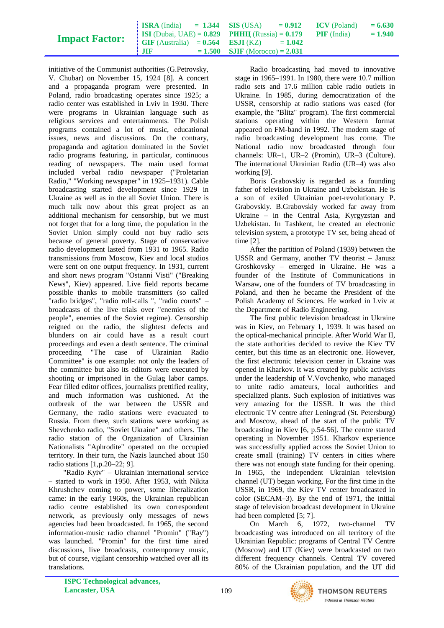| <b>Impact Factor:</b> |        | <b>ISRA</b> (India) = 1.344 <b>SIS</b> (USA) = $0.912$ <b>ICV</b> (Poland)<br><b>ISI</b> (Dubai, UAE) = $0.829$ <b>PUHII</b> (Russia) = $0.179$ <b>PIF</b> (India) | $= 6.630$<br>$= 1.940$ |
|-----------------------|--------|--------------------------------------------------------------------------------------------------------------------------------------------------------------------|------------------------|
|                       | - 1119 | $\text{GIF (Australia)} = 0.564$ <b>ESJI</b> (KZ) = 1.042<br>$= 1.500$ SJIF (Morocco) = 2.031                                                                      |                        |

initiative of the Communist authorities (G.Petrovsky, V. Chubar) on November 15, 1924 [8]. A concert and a propaganda program were presented. In Poland, radio broadcasting operates since 1925; a radio center was established in Lviv in 1930. There were programs in Ukrainian language such as religious services and entertainments. The Polish programs contained a lot of music, educational issues, news and discussions. On the contrary, propaganda and agitation dominated in the Soviet radio programs featuring, in particular, continuous reading of newspapers. The main used format included verbal radio newspaper ("Proletarian Radio," "Working newspaper" in 1925–1931). Cable broadcasting started development since 1929 in Ukraine as well as in the all Soviet Union. There is much talk now about this great project as an additional mechanism for censorship, but we must not forget that for a long time, the population in the Soviet Union simply could not buy radio sets because of general poverty. Stage of conservative radio development lasted from 1931 to 1965. Radio transmissions from Moscow, Kiev and local studios were sent on one output frequency. In 1931, current and short news program "Ostannі Visti" ("Breaking News", Kiev) appeared. Live field reports became possible thanks to mobile transmitters (so called "radio bridges", "radio roll-calls ", "radio courts" – broadcasts of the live trials over "enemies of the people", enemies of the Soviet regime). Censorship reigned on the radio, the slightest defects and blunders on air could have as a result court proceedings and even a death sentence. The criminal proceeding "The case of Ukrainian Radio Committee" is one example: not only the leaders of the committee but also its editors were executed by shooting or imprisoned in the Gulag labor camps. Fear filled editor offices, journalists prettified reality, and much information was cushioned. At the outbreak of the war between the USSR and Germany, the radio stations were evacuated to Russia. From there, such stations were working as Shevchenko radio, "Soviet Ukraine" and others. The radio station of the Organization of Ukrainian Nationalists "Aphrodite" operated on the occupied territory. In their turn, the Nazis launched about 150 radio stations [1,p.20–22; 9].

"Radio Kyiv" – Ukrainian international service – started to work in 1950. After 1953, with Nikita Khrushchev coming to power, some liberalization came: in the early 1960s, the Ukrainian republican radio centre established its own correspondent network, as previously only messages of news agencies had been broadcasted. In 1965, the second information-music radio channel "Promin" ("Ray") was launched. "Promin" for the first time aired discussions, live broadcasts, contemporary music, but of course, vigilant censorship watched over all its translations.

Radio broadcasting had moved to innovative stage in 1965–1991. In 1980, there were 10.7 million radio sets and 17.6 million cable radio outlets in Ukraine. In 1985, during democratization of the USSR, censorship at radio stations was eased (for example, the "Blitz" program). The first commercial stations operating within the Western format appeared on FM-band in 1992. The modern stage of radio broadcasting development has come. The National radio now broadcasted through four channels: UR–1, UR–2 (Promin), UR–3 (Culture). The international Ukrainian Radio (UR–4) was also working [9].

Boris Grabovskiy is regarded as a founding father of television in Ukraine and Uzbekistan. He is a son of exiled Ukrainian poet-revolutionary P. Grabovskiy. B.Grabovskiy worked far away from Ukraine – in the Central Asia, Kyrgyzstan and Uzbekistan. In Tashkent, he created an electronic television system, a prototype TV set, being ahead of time [2].

After the partition of Poland (1939) between the USSR and Germany, another TV theorist – Janusz Groshkovsky – emerged in Ukraine. He was a founder of the Institute of Communications in Warsaw, one of the founders of TV broadcasting in Poland, and then he became the President of the Polish Academy of Sciences. He worked in Lviv at the Department of Radio Engineering.

The first public television broadcast in Ukraine was in Kiev, on February 1, 1939. It was based on the optical-mechanical principle. After World War II, the state authorities decided to revive the Kiev TV center, but this time as an electronic one. However, the first electronic television center in Ukraine was opened in Kharkov. It was created by public activists under the leadership of V.Vovchenko, who managed to unite radio amateurs, local authorities and specialized plants. Such explosion of initiatives was very amazing for the USSR. It was the third electronic TV centre after Leningrad (St. Petersburg) and Moscow, ahead of the start of the public TV broadcasting in Kiev [6, p.54-56]. The centre started operating in November 1951. Kharkov experience was successfully applied across the Soviet Union to create small (training) TV centers in cities where there was not enough state funding for their opening. In 1965, the independent Ukrainian television channel (UT) began working. For the first time in the USSR, in 1969, the Kiev TV center broadcasted in color (SECAM–3). By the end of 1971, the initial stage of television broadcast development in Ukraine had been completed [5; 7].

On March 6, 1972, two-channel TV broadcasting was introduced on all territory of the Ukrainian Republic: programs of Central TV Centre (Moscow) and UT (Kiev) were broadcasted on two different frequency channels. Central TV covered 80% of the Ukrainian population, and the UT did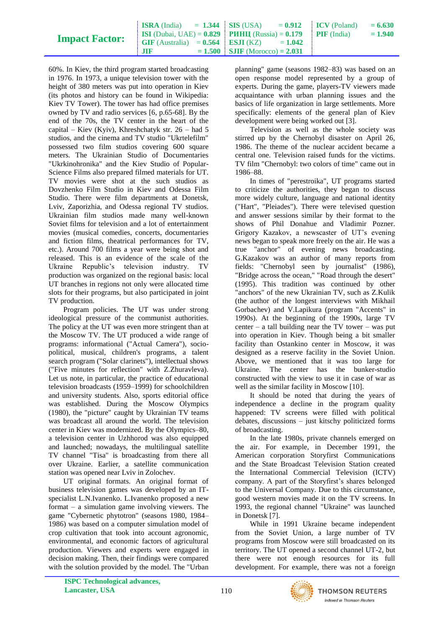|  | <b>Impact Factor:</b> |  |
|--|-----------------------|--|
|--|-----------------------|--|

60%. In Kiev, the third program started broadcasting in 1976. In 1973, a unique television tower with the height of 380 meters was put into operation in Kiev (its photos and history can be found in Wikipedia: Kiev TV Tower). The tower has had office premises owned by TV and radio services [6, p.65-68]. By the end of the 70s, the TV center in the heart of the capital – Kiev (Kyiv), Khreshchatyk str. 26 – had 5 studios, and the cinema and TV studio "Ukrtelefilm" possessed two film studios covering 600 square meters. The Ukrainian Studio of Documentaries "Ukrkinohronika" and the Kiev Studio of Popular-Science Films also prepared filmed materials for UT. TV movies were shot at the such studios as Dovzhenko Film Studio in Kiev and Odessa Film Studio. There were film departments at Donetsk, Lviv, Zaporizhia, and Odessa regional TV studios. Ukrainian film studios made many well-known Soviet films for television and a lot of entertainment movies (musical comedies, concerts, documentaries and fiction films, theatrical performances for TV, etc.). Around 700 films a year were being shot and released. This is an evidence of the scale of the Ukraine Republic's television industry. TV production was organized on the regional basis: local UT branches in regions not only were allocated time slots for their programs, but also participated in joint TV production.

Program policies. The UT was under strong ideological pressure of the communist authorities. The policy at the UT was even more stringent than at the Moscow TV. The UT produced a wide range of programs: informational ("Actual Camera"), sociopolitical, musical, children's programs, a talent search program ("Solar clarinets"), intellectual shows ("Five minutes for reflection" with Z.Zhuravleva). Let us note, in particular, the practice of educational television broadcasts (1959–1999) for schoolchildren and university students. Also, sports editorial office was established. During the Moscow Olympics (1980), the "picture" caught by Ukrainian TV teams was broadcast all around the world. The television center in Kiev was modernized. By the Olympics–80, a television center in Uzhhorod was also equipped and launched; nowadays, the multilingual satellite TV channel "Tisa" is broadcasting from there all over Ukraine. Earlier, a satellite communication station was opened near Lviv in Zolochev.

UT original formats. An original format of business television games was developed by an ITspecialist L.N.Ivanenko. L.Ivanenko proposed a new format – a simulation game involving viewers. The game "Cybernetic phytotron" (seasons 1980, 1984– 1986) was based on a computer simulation model of crop cultivation that took into account agronomic, environmental, and economic factors of agricultural production. Viewers and experts were engaged in decision making. Then, their findings were compared with the solution provided by the model. The "Urban

planning" game (seasons 1982–83) was based on an open response model represented by a group of experts. During the game, players-TV viewers made acquaintance with urban planning issues and the basics of life organization in large settlements. More specifically: elements of the general plan of Kiev development were being worked out [3].

Television as well as the whole society was stirred up by the Chernobyl disaster on April 26, 1986. The theme of the nuclear accident became a central one. Television raised funds for the victims. TV film "Chernobyl: two colors of time" came out in 1986–88.

In times of "perestroika", UT programs started to criticize the authorities, they began to discuss more widely culture, language and national identity ("Hart", "Pleiades"). There were televised question and answer sessions similar by their format to the shows of Phil Donahue and Vladimir Pozner. Grigory Kazakov, a newscaster of UT's evening news began to speak more freely on the air. He was a true "anchor" of evening news broadcasting. G.Kazakov was an author of many reports from fields: "Chernobyl seen by journalist" (1986), "Bridge across the ocean," "Road through the desert" (1995). This tradition was continued by other "anchors" of the new Ukrainian TV, such as Z.Kulik (the author of the longest interviews with Mikhail Gorbachev) and V.Lapikura (program "Accents" in 1990s). At the beginning of the 1990s, large TV center – a tall building near the TV tower – was put into operation in Kiev. Though being a bit smaller facility than Ostankino center in Moscow, it was designed as a reserve facility in the Soviet Union. Above, we mentioned that it was too large for Ukraine. The center has the bunker-studio constructed with the view to use it in case of war as well as the similar facility in Moscow [10].

It should be noted that during the years of independence a decline in the program quality happened: TV screens were filled with political debates, discussions – just kitschy politicized forms of broadcasting.

In the late 1980s, private channels emerged on the air. For example, in December 1991, the American corporation Storyfirst Communications and the State Broadcast Television Station created the International Commercial Television (ICTV) company. A part of the Storyfirst's shares belonged to the Universal Company. Due to this circumstance, good western movies made it on the TV screens. In 1993, the regional channel "Ukraine" was launched in Donetsk [7].

While in 1991 Ukraine became independent from the Soviet Union, a large number of TV programs from Moscow were still broadcasted on its territory. The UT opened a second channel UT-2, but there were not enough resources for its full development. For example, there was not a foreign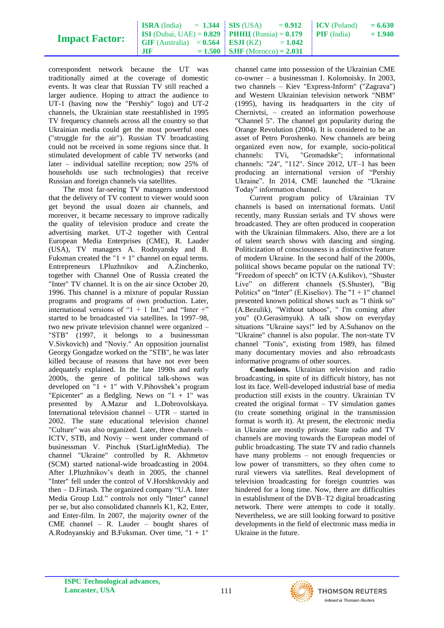|                       | <b>ISRA</b> (India) $= 1.344$ SIS (USA)                           |                                  | $= 0.912$ ICV (Poland) | $= 6.630$ |
|-----------------------|-------------------------------------------------------------------|----------------------------------|------------------------|-----------|
|                       | <b>ISI</b> (Dubai, UAE) = $0.829$ <b>PHHII</b> (Russia) = $0.179$ |                                  | <b>PIF</b> (India)     | $= 1.940$ |
| <b>Impact Factor:</b> | $\text{GIF (Australia)} = 0.564$ <b>ESJI</b> (KZ)                 | $= 1.042$                        |                        |           |
|                       | $J\mathbf{I}$                                                     | $= 1.500$ SJIF (Morocco) = 2.031 |                        |           |

correspondent network because the UT was traditionally aimed at the coverage of domestic events. It was clear that Russian TV still reached a larger audience. Hoping to attract the audience to UT-1 (having now the "Pershiy" logo) and UT-2 channels, the Ukrainian state reestablished in 1995 TV frequency channels across all the country so that Ukrainian media could get the most powerful ones ("struggle for the air"). Russian TV broadcasting could not be received in some regions since that. It stimulated development of cable TV networks (and later – individual satellite reception; now 25% of households use such technologies) that receive Russian and foreign channels via satellites.

The most far-seeing TV managers understood that the delivery of TV content to viewer would soon get beyond the usual dozen air channels, and moreover, it became necessary to improve radically the quality of television produce and create the advertising market. UT-2 together with Central European Media Enterprises (CME), R. Lauder (USA), TV managers A. Rodnyansky and B. Fuksman created the " $1 + 1$ " channel on equal terms. Entrepreneurs I.Pluzhnikov and A.Zinchenko, together with Channel One of Russia created the "Inter" TV channel. It is on the air since October 20, 1996. This channel is a mixture of popular Russian programs and programs of own production. Later, international versions of " $1 + 1$  Int." and "Inter +" started to be broadcasted via satellites. In 1997–98, two new private television channel were organized – "STB" (1997, it belongs to a businessman V.Sivkovich) and "Noviy." An opposition journalist Georgy Gongadze worked on the "STB", he was later killed because of reasons that have not ever been adequately explained. In the late 1990s and early 2000s, the genre of political talk-shows was developed on " $1 + 1$ " with V. Pihovshek's program "Epicenter" as a fledgling. News on " $1 + 1$ " was presented by A.Mazur and L.Dobrovolskaya. International television channel – UTR – started in 2002. The state educational television channel "Culture" was also organized. Later, three channels – ICTV, STB, and Noviy – went under command of businessman V. Pinchuk (StarLightMedia). The channel "Ukraine" controlled by R. Akhmetov (SCM) started national-wide broadcasting in 2004. After I.Pluzhnikov's death in 2005, the channel "Inter" fell under the control of V.Horshkovskiy and then – D.Firtash. The organized company "U.A. Inter Media Group Ltd." controls not only "Inter" cannel per se, but also consolidated channels K1, K2, Enter, and Enter-film. In 2007, the majority owner of the CME channel – R. Lauder – bought shares of A.Rodnyanskiy and B.Fuksman. Over time, "1 + 1"

channel came into possession of the Ukrainian CME co-owner – a businessman I. Kolomoisky. In 2003, two channels – Kiev "Express-Inform" ("Zagrava") and Western Ukrainian television network "NBM" (1995), having its headquarters in the city of Chernivtsi, – created an information powerhouse "Channel 5". The channel got popularity during the Orange Revolution (2004). It is considered to be an asset of Petro Poroshenko. New channels are being organized even now, for example, socio-political channels: TVi, "Gromadske"; informational channels: "24", "112". Since 2012, UT–1 has been producing an international version of "Pershiy Ukraine". In 2014, CME launched the "Ukraine Today" information channel.

Current program policy of Ukrainian TV channels is based on international formats. Until recently, many Russian serials and TV shows were broadcasted. They are often produced in cooperation with the Ukrainian filmmakers. Also, there are a lot of talent search shows with dancing and singing. Politicization of consciousness is a distinctive feature of modern Ukraine. In the second half of the 2000s, political shows became popular on the national TV: "Freedom of speech" on ICTV (A.Kulikov), "Shuster Live" on different channels (S.Shuster), "Big Politics" on "Inter" (E.Kiseliov). The " $1 + 1$ " channel presented known political shows such as "I think so" (A.Bezulik), "Without taboos", " I'm coming after you" (O.Gerasimyuk). A talk show on everyday situations "Ukraine says!" led by A.Suhanov on the "Ukraine" channel is also popular. The non-state TV channel "Tonis", existing from 1989, has filmed many documentary movies and also rebroadcasts informative programs of other sources.

**Conclusions.** Ukrainian television and radio broadcasting, in spite of its difficult history, has not lost its face. Well-developed industrial base of media production still exists in the country. Ukrainian TV created the original format – TV simulation games (to create something original in the transmission format is worth it). At present, the electronic media in Ukraine are mostly private. State radio and TV channels are moving towards the European model of public broadcasting. The state TV and radio channels have many problems – not enough frequencies or low power of transmitters, so they often come to rural viewers via satellites. Real development of television broadcasting for foreign countries was hindered for a long time. Now, there are difficulties in establishment of the DVB–T2 digital broadcasting network. There were attempts to code it totally. Nevertheless, we are still looking forward to positive developments in the field of electronic mass media in Ukraine in the future.